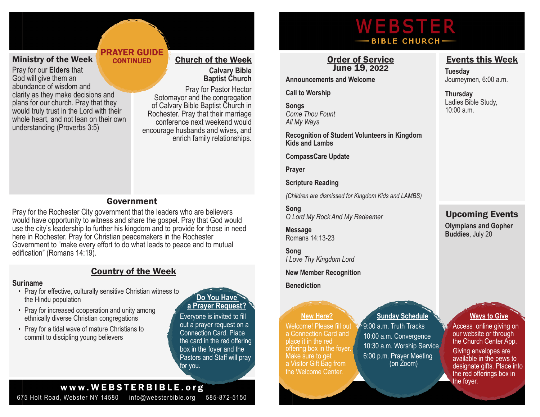## Ministry of the Week

Pray for our **Elders** that God will give them an abundance of wisdom and clarity as they make decisions and plans for our church. Pray that they would truly trust in the Lord with their whole heart, and not lean on their own understanding (Proverbs 3:5)

#### Church of the Week **Calvary Bible Baptist Church**

Pray for Pastor Hector Sotomayor and the congregation of Calvary Bible Baptist Church in Rochester. Pray that their marriage conference next weekend would encourage husbands and wives, and enrich family relationships.

# Government

PRAYER GUIDE **CONTINUED** 

Pray for the Rochester City government that the leaders who are believers would have opportunity to witness and share the gospel. Pray that God would use the city's leadership to further his kingdom and to provide for those in need here in Rochester. Pray for Christian peacemakers in the Rochester Government to "make every effort to do what leads to peace and to mutual edification" (Romans 14:19).

# Country of the Week

#### **Suriname**

- Pray for effective, culturally sensitive Christian witness to the Hindu population
- Pray for increased cooperation and unity among ethnically diverse Christian congregations
- Pray for a tidal wave of mature Christians to commit to discipling young believers

# **Do You Have**

# **a Prayer Request?**

Everyone is invited to fill out a prayer request on a Connection Card. Place the card in the red offering box in the foyer and the Pastors and Staff will pray for you.

# www.WEBSTERBIBLE.org

675 Holt Road, Webster NY 14580 info@websterbible.org 585-872-5150

# WEBSTER **BIBLE CHURCH-**

## Order of Service June 19, 2022

**Announcements and Welcome**

**Call to Worship**

**Songs** *Come Thou Fount All My Ways*

**Recognition of Student Volunteers in Kingdom Kids and Lambs**

**CompassCare Update**

**Prayer**

**Scripture Reading**

*(Children are dismissed for Kingdom Kids and LAMBS)*

**Song** *O Lord My Rock And My Redeemer*

**Message** Romans 14:13-23

**Song** *I Love Thy Kingdom Lord*

**New Member Recognition** 

**Benediction**

 **New Here?**

Welcome! Please fill out a Connection Card and place it in the red offering box in the foyer. Make sure to get a Visitor Gift Bag from the Welcome Center.

### **Sunday Schedule**

 $\sqrt{9}$ :00 a.m. Truth Tracks 10:00 a.m. Convergence 10:30 a.m. Worship Service 6:00 p.m. Prayer Meeting (on Zoom)

# Events this Week

**Tuesday** Journeymen, 6:00 a.m.

**Thursday** Ladies Bible Study, 10:00 a.m.

# Upcoming Events

**Olympians and Gopher Buddies**, July 20

# **Ways to Give**

Access online giving on our website or through the Church Center App.

Giving envelopes are available in the pews to designate gifts. Place into the red offerings box in the foyer.